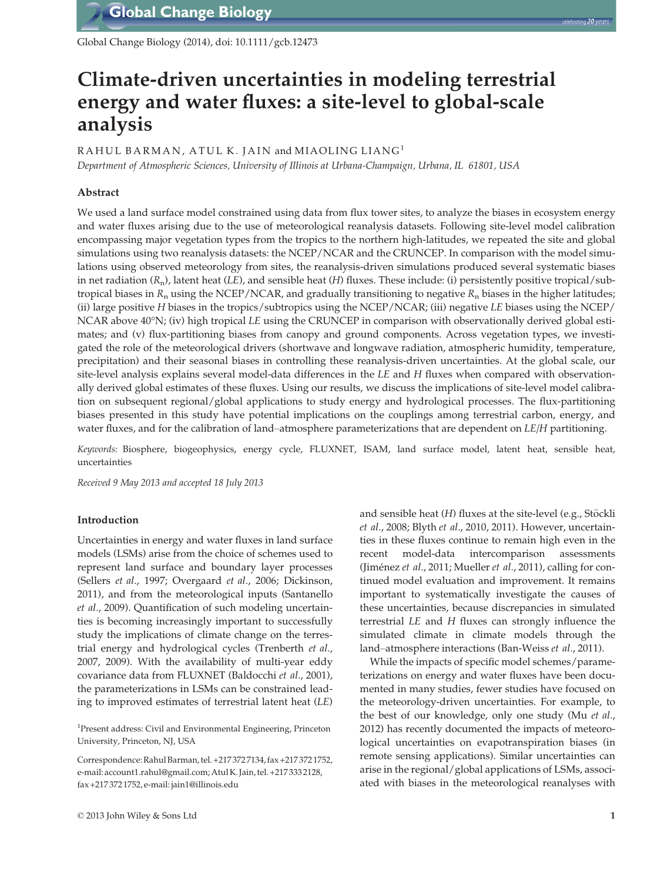Global Change Biology (2014), doi: 10.1111/gcb.12473

# Climate-driven uncertainties in modeling terrestrial energy and water fluxes: a site-level to global-scale analysis

RAHUL BARMAN, ATUL K. JAIN and MIAOLING LIANG<sup>1</sup>

Department of Atmospheric Sciences, University of Illinois at Urbana-Champaign, Urbana, IL 61801, USA

## Abstract

We used a land surface model constrained using data from flux tower sites, to analyze the biases in ecosystem energy and water fluxes arising due to the use of meteorological reanalysis datasets. Following site-level model calibration encompassing major vegetation types from the tropics to the northern high-latitudes, we repeated the site and global simulations using two reanalysis datasets: the NCEP/NCAR and the CRUNCEP. In comparison with the model simulations using observed meteorology from sites, the reanalysis-driven simulations produced several systematic biases in net radiation  $(R_n)$ , latent heat (LE), and sensible heat (H) fluxes. These include: (i) persistently positive tropical/subtropical biases in  $R_n$  using the NCEP/NCAR, and gradually transitioning to negative  $R_n$  biases in the higher latitudes; (ii) large positive H biases in the tropics/subtropics using the NCEP/NCAR; (iii) negative LE biases using the NCEP/ NCAR above 40°N; (iv) high tropical LE using the CRUNCEP in comparison with observationally derived global estimates; and (v) flux-partitioning biases from canopy and ground components. Across vegetation types, we investigated the role of the meteorological drivers (shortwave and longwave radiation, atmospheric humidity, temperature, precipitation) and their seasonal biases in controlling these reanalysis-driven uncertainties. At the global scale, our site-level analysis explains several model-data differences in the LE and H fluxes when compared with observationally derived global estimates of these fluxes. Using our results, we discuss the implications of site-level model calibration on subsequent regional/global applications to study energy and hydrological processes. The flux-partitioning biases presented in this study have potential implications on the couplings among terrestrial carbon, energy, and water fluxes, and for the calibration of land–atmosphere parameterizations that are dependent on  $LE/H$  partitioning.

Keywords: Biosphere, biogeophysics, energy cycle, FLUXNET, ISAM, land surface model, latent heat, sensible heat, uncertainties

Received 9 May 2013 and accepted 18 July 2013

## Introduction

Uncertainties in energy and water fluxes in land surface models (LSMs) arise from the choice of schemes used to represent land surface and boundary layer processes (Sellers et al., 1997; Overgaard et al., 2006; Dickinson, 2011), and from the meteorological inputs (Santanello et al., 2009). Quantification of such modeling uncertainties is becoming increasingly important to successfully study the implications of climate change on the terrestrial energy and hydrological cycles (Trenberth et al., 2007, 2009). With the availability of multi-year eddy covariance data from FLUXNET (Baldocchi et al., 2001), the parameterizations in LSMs can be constrained leading to improved estimates of terrestrial latent heat (LE)

<sup>1</sup>Present address: Civil and Environmental Engineering, Princeton University, Princeton, NJ, USA

Correspondence:Rahul Barman, tel. +217 372 7134, fax +217 372 1752, e-mail: account1.rahul@gmail.com;Atul K. Jain, tel. +217 333 2128, fax +217 372 1752, e-mail: jain1@illinois.edu

and sensible heat  $(H)$  fluxes at the site-level (e.g., Stöckli et al., 2008; Blyth et al., 2010, 2011). However, uncertainties in these fluxes continue to remain high even in the recent model-data intercomparison assessments (Jiménez et al., 2011; Mueller et al., 2011), calling for continued model evaluation and improvement. It remains important to systematically investigate the causes of these uncertainties, because discrepancies in simulated terrestrial LE and H fluxes can strongly influence the simulated climate in climate models through the land–atmosphere interactions (Ban-Weiss et al., 2011).

While the impacts of specific model schemes/parameterizations on energy and water fluxes have been documented in many studies, fewer studies have focused on the meteorology-driven uncertainties. For example, to the best of our knowledge, only one study (Mu et al., 2012) has recently documented the impacts of meteorological uncertainties on evapotranspiration biases (in remote sensing applications). Similar uncertainties can arise in the regional/global applications of LSMs, associated with biases in the meteorological reanalyses with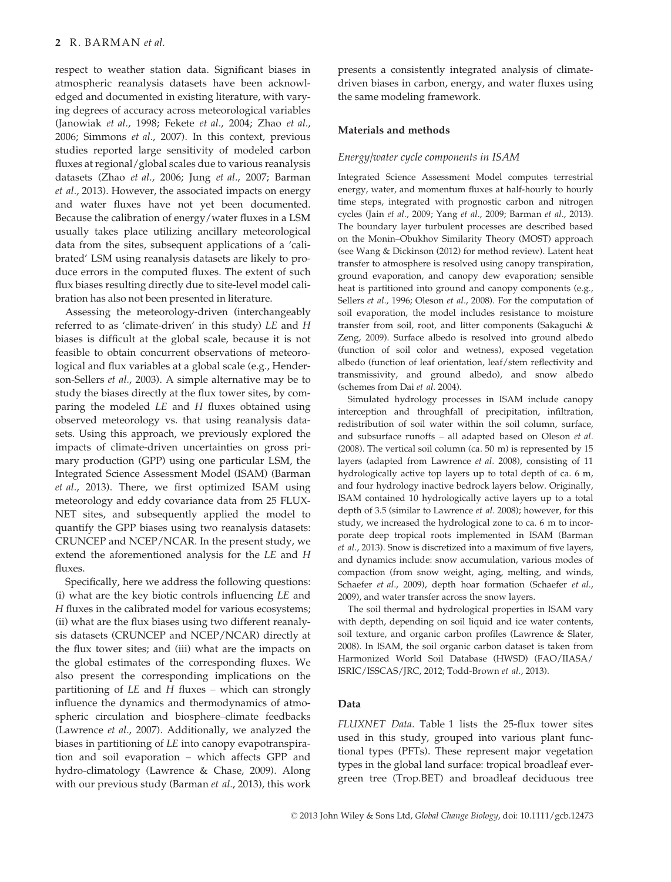respect to weather station data. Significant biases in atmospheric reanalysis datasets have been acknowledged and documented in existing literature, with varying degrees of accuracy across meteorological variables (Janowiak et al., 1998; Fekete et al., 2004; Zhao et al., 2006; Simmons et al., 2007). In this context, previous studies reported large sensitivity of modeled carbon fluxes at regional/global scales due to various reanalysis datasets (Zhao et al., 2006; Jung et al., 2007; Barman et al., 2013). However, the associated impacts on energy and water fluxes have not yet been documented. Because the calibration of energy/water fluxes in a LSM usually takes place utilizing ancillary meteorological data from the sites, subsequent applications of a 'calibrated' LSM using reanalysis datasets are likely to produce errors in the computed fluxes. The extent of such flux biases resulting directly due to site-level model calibration has also not been presented in literature.

Assessing the meteorology-driven (interchangeably referred to as 'climate-driven' in this study) LE and H biases is difficult at the global scale, because it is not feasible to obtain concurrent observations of meteorological and flux variables at a global scale (e.g., Henderson-Sellers et al., 2003). A simple alternative may be to study the biases directly at the flux tower sites, by comparing the modeled LE and H fluxes obtained using observed meteorology vs. that using reanalysis datasets. Using this approach, we previously explored the impacts of climate-driven uncertainties on gross primary production (GPP) using one particular LSM, the Integrated Science Assessment Model (ISAM) (Barman et al., 2013). There, we first optimized ISAM using meteorology and eddy covariance data from 25 FLUX-NET sites, and subsequently applied the model to quantify the GPP biases using two reanalysis datasets: CRUNCEP and NCEP/NCAR. In the present study, we extend the aforementioned analysis for the LE and H fluxes.

Specifically, here we address the following questions: (i) what are the key biotic controls influencing LE and H fluxes in the calibrated model for various ecosystems; (ii) what are the flux biases using two different reanalysis datasets (CRUNCEP and NCEP/NCAR) directly at the flux tower sites; and (iii) what are the impacts on the global estimates of the corresponding fluxes. We also present the corresponding implications on the partitioning of  $LE$  and  $H$  fluxes – which can strongly influence the dynamics and thermodynamics of atmospheric circulation and biosphere–climate feedbacks (Lawrence et al., 2007). Additionally, we analyzed the biases in partitioning of LE into canopy evapotranspiration and soil evaporation – which affects GPP and hydro-climatology (Lawrence & Chase, 2009). Along with our previous study (Barman et al., 2013), this work

presents a consistently integrated analysis of climatedriven biases in carbon, energy, and water fluxes using the same modeling framework.

## Materials and methods

## Energy/water cycle components in ISAM

Integrated Science Assessment Model computes terrestrial energy, water, and momentum fluxes at half-hourly to hourly time steps, integrated with prognostic carbon and nitrogen cycles (Jain et al., 2009; Yang et al., 2009; Barman et al., 2013). The boundary layer turbulent processes are described based on the Monin–Obukhov Similarity Theory (MOST) approach (see Wang & Dickinson (2012) for method review). Latent heat transfer to atmosphere is resolved using canopy transpiration, ground evaporation, and canopy dew evaporation; sensible heat is partitioned into ground and canopy components (e.g., Sellers et al., 1996; Oleson et al., 2008). For the computation of soil evaporation, the model includes resistance to moisture transfer from soil, root, and litter components (Sakaguchi & Zeng, 2009). Surface albedo is resolved into ground albedo (function of soil color and wetness), exposed vegetation albedo (function of leaf orientation, leaf/stem reflectivity and transmissivity, and ground albedo), and snow albedo (schemes from Dai et al. 2004).

Simulated hydrology processes in ISAM include canopy interception and throughfall of precipitation, infiltration, redistribution of soil water within the soil column, surface, and subsurface runoffs – all adapted based on Oleson et al. (2008). The vertical soil column (ca. 50 m) is represented by 15 layers (adapted from Lawrence et al. 2008), consisting of 11 hydrologically active top layers up to total depth of ca. 6 m, and four hydrology inactive bedrock layers below. Originally, ISAM contained 10 hydrologically active layers up to a total depth of 3.5 (similar to Lawrence et al. 2008); however, for this study, we increased the hydrological zone to ca. 6 m to incorporate deep tropical roots implemented in ISAM (Barman et al., 2013). Snow is discretized into a maximum of five layers, and dynamics include: snow accumulation, various modes of compaction (from snow weight, aging, melting, and winds, Schaefer et al., 2009), depth hoar formation (Schaefer et al., 2009), and water transfer across the snow layers.

The soil thermal and hydrological properties in ISAM vary with depth, depending on soil liquid and ice water contents, soil texture, and organic carbon profiles (Lawrence & Slater, 2008). In ISAM, the soil organic carbon dataset is taken from Harmonized World Soil Database (HWSD) (FAO/IIASA/ ISRIC/ISSCAS/JRC, 2012; Todd-Brown et al., 2013).

## Data

FLUXNET Data. Table 1 lists the 25-flux tower sites used in this study, grouped into various plant functional types (PFTs). These represent major vegetation types in the global land surface: tropical broadleaf evergreen tree (Trop.BET) and broadleaf deciduous tree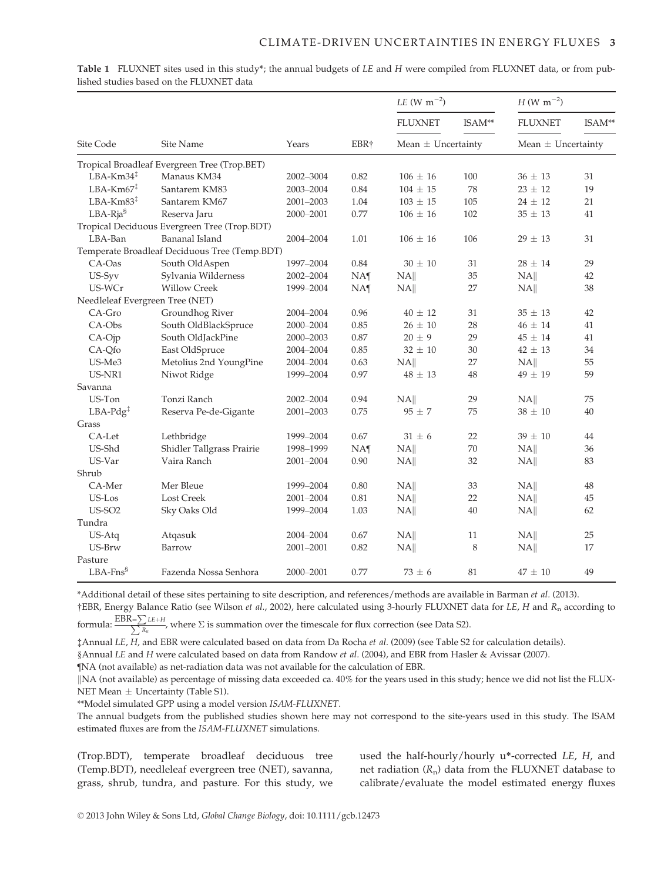|                                          |                                               |           |                 | <i>LE</i> (W m <sup>-2</sup> ) |          | $H(W \text{ m}^{-2})$  |        |
|------------------------------------------|-----------------------------------------------|-----------|-----------------|--------------------------------|----------|------------------------|--------|
|                                          |                                               |           |                 | <b>FLUXNET</b>                 | $ISAM**$ | <b>FLUXNET</b>         | ISAM** |
| Site Code                                | Site Name                                     | Years     | EBR†            | Mean $\pm$ Uncertainty         |          | Mean $\pm$ Uncertainty |        |
|                                          | Tropical Broadleaf Evergreen Tree (Trop.BET)  |           |                 |                                |          |                        |        |
| $LBA-Km34$ <sup><math>\ddag</math></sup> | Manaus KM34                                   | 2002-3004 | 0.82            | $106 \pm 16$                   | 100      | $36 \pm 13$            | 31     |
| $LBA-Km67$ <sup>‡</sup>                  | Santarem KM83                                 | 2003-2004 | 0.84            | $104 \pm 15$                   | 78       | $23 \pm 12$            | 19     |
| $LBA-Km83‡$                              | Santarem KM67                                 | 2001-2003 | 1.04            | $103 \pm 15$                   | 105      | $24 \pm 12$            | 21     |
| $LBA-Rja§$                               | Reserva Jaru                                  | 2000-2001 | 0.77            | $106 \pm 16$                   | 102      | $35 \pm 13$            | 41     |
|                                          | Tropical Deciduous Evergreen Tree (Trop.BDT)  |           |                 |                                |          |                        |        |
| LBA-Ban                                  | <b>Bananal Island</b>                         | 2004-2004 | 1.01            | $106 \pm 16$                   | 106      | $29 \pm 13$            | 31     |
|                                          | Temperate Broadleaf Deciduous Tree (Temp.BDT) |           |                 |                                |          |                        |        |
| $CA$ -Oas                                | South OldAspen                                | 1997-2004 | 0.84            | $30 \pm 10$                    | 31       | $28 \pm 14$            | 29     |
| US-Syv                                   | Sylvania Wilderness                           | 2002-2004 | NA <sub>1</sub> | NA                             | 35       | NA                     | 42     |
| US-WCr                                   | <b>Willow Creek</b>                           | 1999-2004 | NA <sub>1</sub> | NA                             | 27       | NA                     | 38     |
| Needleleaf Evergreen Tree (NET)          |                                               |           |                 |                                |          |                        |        |
| CA-Gro                                   | Groundhog River                               | 2004-2004 | 0.96            | $40 \pm 12$                    | 31       | $35 \pm 13$            | 42     |
| CA-Obs                                   | South OldBlackSpruce                          | 2000-2004 | 0.85            | $26 \pm 10$                    | 28       | $46 \pm 14$            | 41     |
| CA-Ojp                                   | South OldJackPine                             | 2000-2003 | 0.87            | $20 \pm 9$                     | 29       | $45 \pm 14$            | 41     |
| CA-Qfo                                   | East OldSpruce                                | 2004-2004 | 0.85            | $32 \pm 10$                    | 30       | $42 \pm 13$            | 34     |
| US-Me3                                   | Metolius 2nd YoungPine                        | 2004-2004 | 0.63            | NA                             | 27       | NA                     | 55     |
| US-NR1                                   | Niwot Ridge                                   | 1999-2004 | 0.97            | $48 \pm 13$                    | 48       | $49 \pm 19$            | 59     |
| Savanna                                  |                                               |           |                 |                                |          |                        |        |
| US-Ton                                   | Tonzi Ranch                                   | 2002-2004 | 0.94            | NA                             | 29       | NA                     | 75     |
| $LBA-Pdg‡$                               | Reserva Pe-de-Gigante                         | 2001-2003 | 0.75            | $95 \pm 7$                     | 75       | $38 \pm 10$            | 40     |
| Grass                                    |                                               |           |                 |                                |          |                        |        |
| CA-Let                                   | Lethbridge                                    | 1999-2004 | 0.67            | $31 \pm 6$                     | 22       | $39 \pm 10$            | 44     |
| US-Shd                                   | Shidler Tallgrass Prairie                     | 1998-1999 | NA <sub>1</sub> | NA                             | 70       | NA                     | 36     |
| US-Var                                   | Vaira Ranch                                   | 2001-2004 | 0.90            | NA                             | 32       | NA                     | 83     |
| Shrub                                    |                                               |           |                 |                                |          |                        |        |
| CA-Mer                                   | Mer Bleue                                     | 1999-2004 | 0.80            | NA                             | 33       | NA                     | 48     |
| US-Los                                   | <b>Lost Creek</b>                             | 2001-2004 | 0.81            | NA                             | 22       | NA                     | 45     |
| <b>US-SO2</b>                            | Sky Oaks Old                                  | 1999-2004 | 1.03            | NA                             | 40       | NA                     | 62     |
| Tundra                                   |                                               |           |                 |                                |          |                        |        |
| US-Atq                                   | Atqasuk                                       | 2004-2004 | 0.67            | NA                             | 11       | NA                     | 25     |
| US-Brw                                   | Barrow                                        | 2001-2001 | 0.82            | NA                             | 8        | NA                     | 17     |
| Pasture                                  |                                               |           |                 |                                |          |                        |        |
| $LBA-Fns^s$                              | Fazenda Nossa Senhora                         | 2000-2001 | 0.77            | $73 \pm 6$                     | 81       | $47 \pm 10$            | 49     |

Table 1 FLUXNET sites used in this study\*; the annual budgets of LE and H were compiled from FLUXNET data, or from published studies based on the FLUXNET data

\*Additional detail of these sites pertaining to site description, and references/methods are available in Barman et al. (2013).

†EBR, Energy Balance Ratio (see Wilson et al., 2002), here calculated using 3-hourly FLUXNET data for LE, H and R<sup>n</sup> according to

formula:  $\frac{\text{EBR}=\sum LE+H}{\sum R_n}$ , where  $\Sigma$  is summation over the timescale for flux correction (see Data S2).

‡Annual LE, H, and EBR were calculated based on data from Da Rocha et al. (2009) (see Table S2 for calculation details).

§Annual LE and H were calculated based on data from Randow et al. (2004), and EBR from Hasler & Avissar (2007).

¶NA (not available) as net-radiation data was not available for the calculation of EBR.

||NA (not available) as percentage of missing data exceeded ca. 40% for the years used in this study; hence we did not list the FLUX-NET Mean  $\pm$  Uncertainty (Table S1).

\*\*Model simulated GPP using a model version ISAM-FLUXNET.

The annual budgets from the published studies shown here may not correspond to the site-years used in this study. The ISAM estimated fluxes are from the ISAM-FLUXNET simulations.

(Trop.BDT), temperate broadleaf deciduous tree (Temp.BDT), needleleaf evergreen tree (NET), savanna, grass, shrub, tundra, and pasture. For this study, we

used the half-hourly/hourly u\*-corrected LE, H, and net radiation  $(R_n)$  data from the FLUXNET database to calibrate/evaluate the model estimated energy fluxes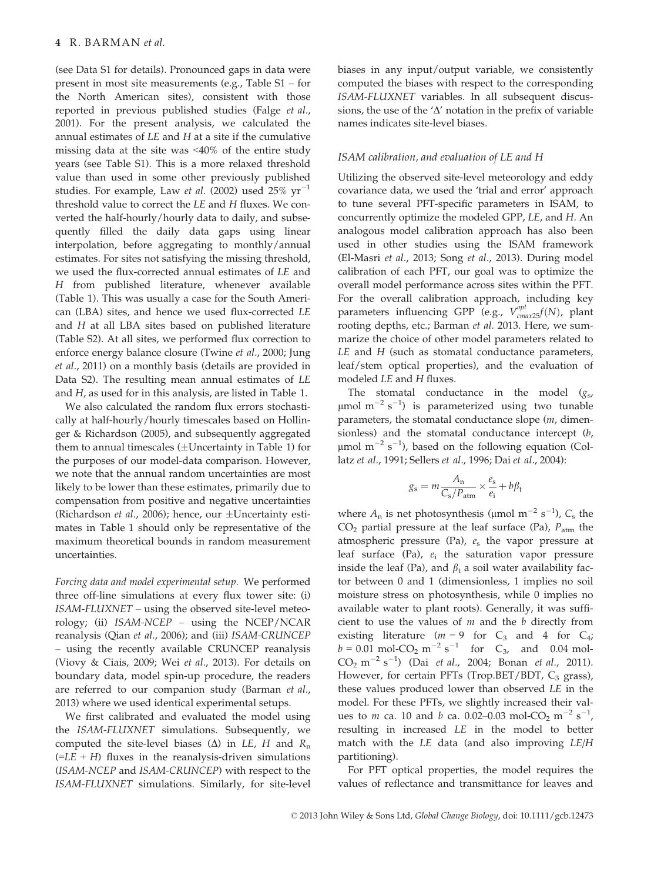(see Data S1 for details). Pronounced gaps in data were present in most site measurements (e.g., Table S1 – for the North American sites), consistent with those reported in previous published studies (Falge et al., 2001). For the present analysis, we calculated the annual estimates of  $LE$  and  $H$  at a site if the cumulative missing data at the site was <40% of the entire study years (see Table S1). This is a more relaxed threshold value than used in some other previously published studies. For example, Law et al. (2002) used  $25\% \text{ yr}^{-1}$ threshold value to correct the LE and H fluxes. We converted the half-hourly/hourly data to daily, and subsequently filled the daily data gaps using linear interpolation, before aggregating to monthly/annual estimates. For sites not satisfying the missing threshold, we used the flux-corrected annual estimates of LE and H from published literature, whenever available (Table 1). This was usually a case for the South American (LBA) sites, and hence we used flux-corrected LE and H at all LBA sites based on published literature (Table S2). At all sites, we performed flux correction to enforce energy balance closure (Twine et al., 2000; Jung et al., 2011) on a monthly basis (details are provided in Data S2). The resulting mean annual estimates of LE and H, as used for in this analysis, are listed in Table 1.

We also calculated the random flux errors stochastically at half-hourly/hourly timescales based on Hollinger & Richardson (2005), and subsequently aggregated them to annual timescales  $(\pm$ Uncertainty in Table 1) for the purposes of our model-data comparison. However, we note that the annual random uncertainties are most likely to be lower than these estimates, primarily due to compensation from positive and negative uncertainties (Richardson et al., 2006); hence, our  $\pm$ Uncertainty estimates in Table 1 should only be representative of the maximum theoretical bounds in random measurement uncertainties.

Forcing data and model experimental setup. We performed three off-line simulations at every flux tower site: (i) ISAM-FLUXNET – using the observed site-level meteorology; (ii) ISAM-NCEP – using the NCEP/NCAR reanalysis (Qian et al., 2006); and (iii) ISAM-CRUNCEP – using the recently available CRUNCEP reanalysis (Viovy & Ciais, 2009; Wei et al., 2013). For details on boundary data, model spin-up procedure, the readers are referred to our companion study (Barman et al., 2013) where we used identical experimental setups.

We first calibrated and evaluated the model using the ISAM-FLUXNET simulations. Subsequently, we computed the site-level biases ( $\Delta$ ) in LE, H and R<sub>n</sub>  $(=LE + H)$  fluxes in the reanalysis-driven simulations (ISAM-NCEP and ISAM-CRUNCEP) with respect to the ISAM-FLUXNET simulations. Similarly, for site-level biases in any input/output variable, we consistently computed the biases with respect to the corresponding ISAM-FLUXNET variables. In all subsequent discussions, the use of the  $'\Delta'$  notation in the prefix of variable names indicates site-level biases.

## ISAM calibration, and evaluation of LE and H

Utilizing the observed site-level meteorology and eddy covariance data, we used the 'trial and error' approach to tune several PFT-specific parameters in ISAM, to concurrently optimize the modeled GPP, LE, and H. An analogous model calibration approach has also been used in other studies using the ISAM framework (El-Masri et al., 2013; Song et al., 2013). During model calibration of each PFT, our goal was to optimize the overall model performance across sites within the PFT. For the overall calibration approach, including key parameters influencing GPP (e.g.,  $V_{cmax25}^{opt}(N)$ , plant rooting depths, etc.; Barman et al. 2013. Here, we summarize the choice of other model parameters related to LE and H (such as stomatal conductance parameters, leaf/stem optical properties), and the evaluation of modeled LE and H fluxes.

The stomatal conductance in the model  $(g<sub>st</sub>)$  $\mu$ mol m<sup>-2</sup> s<sup>-1</sup>) is parameterized using two tunable parameters, the stomatal conductance slope (m, dimensionless) and the stomatal conductance intercept (b,  $\mu$ mol m<sup>-2</sup> s<sup>-1</sup>), based on the following equation (Collatz et al., 1991; Sellers et al., 1996; Dai et al., 2004):

$$
g_{\rm s} = m \frac{A_{\rm n}}{C_{\rm s}/P_{\rm atm}} \times \frac{e_{\rm s}}{e_{\rm i}} + b \beta_{\rm t}
$$

where  $A_n$  is net photosynthesis (µmol m<sup>-2</sup> s<sup>-1</sup>),  $C_s$  the  $CO<sub>2</sub>$  partial pressure at the leaf surface (Pa),  $P<sub>atm</sub>$  the atmospheric pressure (Pa),  $e_s$  the vapor pressure at leaf surface (Pa),  $e_i$  the saturation vapor pressure inside the leaf (Pa), and  $\beta_t$  a soil water availability factor between 0 and 1 (dimensionless, 1 implies no soil moisture stress on photosynthesis, while 0 implies no available water to plant roots). Generally, it was sufficient to use the values of  $m$  and the  $b$  directly from existing literature ( $m = 9$  for  $C_3$  and 4 for  $C_4$ ;  $b = 0.01$  mol-CO<sub>2</sub> m<sup>-2</sup> s<sup>-1</sup> for C<sub>3</sub>, and 0.04 mol- $CO_2 \text{ m}^{-2} \text{ s}^{-1}$ ) (Dai *et al.*, 2004; Bonan *et al.*, 2011). However, for certain PFTs (Trop.BET/BDT,  $C_3$  grass), these values produced lower than observed LE in the model. For these PFTs, we slightly increased their values to *m* ca. 10 and *b* ca. 0.02–0.03 mol-CO<sub>2</sub> m<sup>-2</sup> s<sup>-1</sup>, resulting in increased LE in the model to better match with the LE data (and also improving LE/H partitioning).

For PFT optical properties, the model requires the values of reflectance and transmittance for leaves and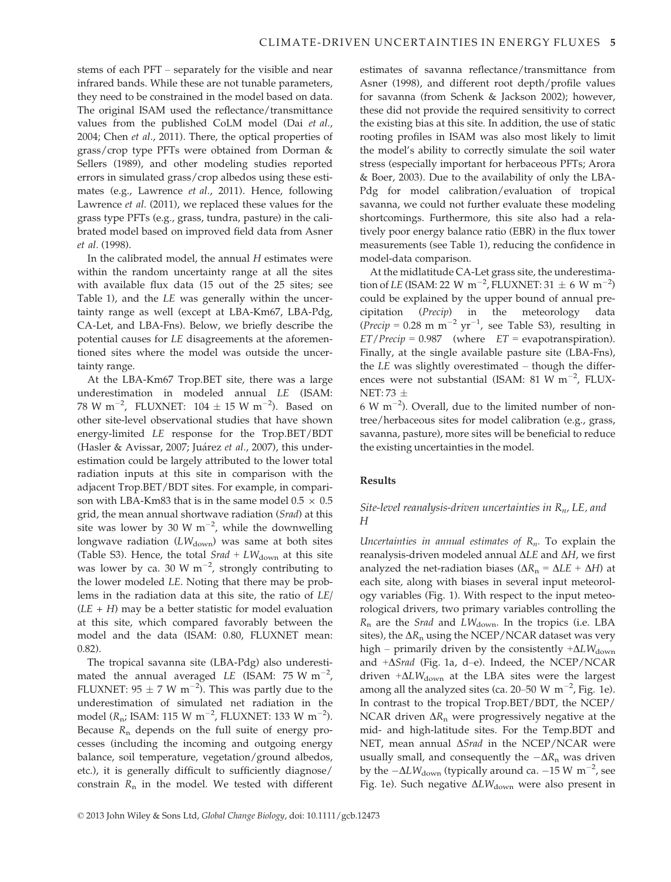stems of each PFT – separately for the visible and near infrared bands. While these are not tunable parameters, they need to be constrained in the model based on data. The original ISAM used the reflectance/transmittance values from the published CoLM model (Dai et al., 2004; Chen et al., 2011). There, the optical properties of grass/crop type PFTs were obtained from Dorman & Sellers (1989), and other modeling studies reported errors in simulated grass/crop albedos using these estimates (e.g., Lawrence et al., 2011). Hence, following Lawrence et al. (2011), we replaced these values for the grass type PFTs (e.g., grass, tundra, pasture) in the calibrated model based on improved field data from Asner et al. (1998).

In the calibrated model, the annual H estimates were within the random uncertainty range at all the sites with available flux data (15 out of the 25 sites; see Table 1), and the LE was generally within the uncertainty range as well (except at LBA-Km67, LBA-Pdg, CA-Let, and LBA-Fns). Below, we briefly describe the potential causes for LE disagreements at the aforementioned sites where the model was outside the uncertainty range.

At the LBA-Km67 Trop.BET site, there was a large underestimation in modeled annual LE (ISAM: 78 W m<sup>-2</sup>, FLUXNET:  $104 \pm 15$  W m<sup>-2</sup>). Based on other site-level observational studies that have shown energy-limited LE response for the Trop.BET/BDT (Hasler & Avissar, 2007; Juárez et al., 2007), this underestimation could be largely attributed to the lower total radiation inputs at this site in comparison with the adjacent Trop.BET/BDT sites. For example, in comparison with LBA-Km83 that is in the same model  $0.5 \times 0.5$ grid, the mean annual shortwave radiation (Srad) at this site was lower by 30 W  $m^{-2}$ , while the downwelling longwave radiation  $(LW_{\text{down}})$  was same at both sites (Table S3). Hence, the total  $Srad + LW_{down}$  at this site was lower by ca. 30 W  $m^{-2}$ , strongly contributing to the lower modeled LE. Noting that there may be problems in the radiation data at this site, the ratio of LE/  $(LE + H)$  may be a better statistic for model evaluation at this site, which compared favorably between the model and the data (ISAM: 0.80, FLUXNET mean: 0.82).

The tropical savanna site (LBA-Pdg) also underestimated the annual averaged *LE* (ISAM: 75 W m<sup>-2</sup>, FLUXNET:  $95 \pm 7$  W m<sup>-2</sup>). This was partly due to the underestimation of simulated net radiation in the model ( $R_{\rm n}$ ; ISAM: 115 W m<sup>-2</sup>, FLUXNET: 133 W m<sup>-2</sup>). Because  $R_n$  depends on the full suite of energy processes (including the incoming and outgoing energy balance, soil temperature, vegetation/ground albedos, etc.), it is generally difficult to sufficiently diagnose/ constrain  $R_n$  in the model. We tested with different estimates of savanna reflectance/transmittance from Asner (1998), and different root depth/profile values for savanna (from Schenk & Jackson 2002); however, these did not provide the required sensitivity to correct the existing bias at this site. In addition, the use of static rooting profiles in ISAM was also most likely to limit the model's ability to correctly simulate the soil water stress (especially important for herbaceous PFTs; Arora & Boer, 2003). Due to the availability of only the LBA-Pdg for model calibration/evaluation of tropical savanna, we could not further evaluate these modeling shortcomings. Furthermore, this site also had a relatively poor energy balance ratio (EBR) in the flux tower measurements (see Table 1), reducing the confidence in model-data comparison.

At the midlatitude CA-Let grass site, the underestimation of LE (ISAM: 22 W m<sup>-2</sup>, FLUXNET: 31  $\pm$  6 W m<sup>-2</sup>) could be explained by the upper bound of annual precipitation (Precip) in the meteorology data (*Precip* = 0.28 m m<sup>-2</sup> yr<sup>-1</sup>, see Table S3), resulting in  $ET/Precip = 0.987$  (where  $ET = evapotranspiration$ ). Finally, at the single available pasture site (LBA-Fns), the LE was slightly overestimated – though the differences were not substantial (ISAM: 81 W  $m^{-2}$ , FLUX- $NET: 73 +$ 

 $6 \text{ W m}^{-2}$ ). Overall, due to the limited number of nontree/herbaceous sites for model calibration (e.g., grass, savanna, pasture), more sites will be beneficial to reduce the existing uncertainties in the model.

## Results

# Site-level reanalysis-driven uncertainties in  $R_n$ , LE, and H

Uncertainties in annual estimates of  $R_n$ . To explain the reanalysis-driven modeled annual  $\Delta LE$  and  $\Delta H$ , we first analyzed the net-radiation biases ( $\Delta R_n = \Delta LE + \Delta H$ ) at each site, along with biases in several input meteorology variables (Fig. 1). With respect to the input meteorological drivers, two primary variables controlling the  $R_n$  are the *Srad* and  $LW_{\text{down}}$ . In the tropics (i.e. LBA sites), the  $\Delta R_n$  using the NCEP/NCAR dataset was very high – primarily driven by the consistently  $+\Delta L W_{\text{down}}$ and  $+\Delta$ *Srad* (Fig. 1a, d–e). Indeed, the NCEP/NCAR driven  $+\Delta L W_{\text{down}}$  at the LBA sites were the largest among all the analyzed sites (ca. 20–50 W  $\text{m}^{-2}$ , Fig. 1e). In contrast to the tropical Trop.BET/BDT, the NCEP/ NCAR driven  $\Delta R_n$  were progressively negative at the mid- and high-latitude sites. For the Temp.BDT and NET, mean annual  $\Delta$ *Srad* in the NCEP/NCAR were usually small, and consequently the  $-\Delta R_n$  was driven by the  $-\Delta L W_{\text{down}}$  (typically around ca.  $-15 \text{ W m}^{-2}$ , see Fig. 1e). Such negative  $\Delta L W_{\text{down}}$  were also present in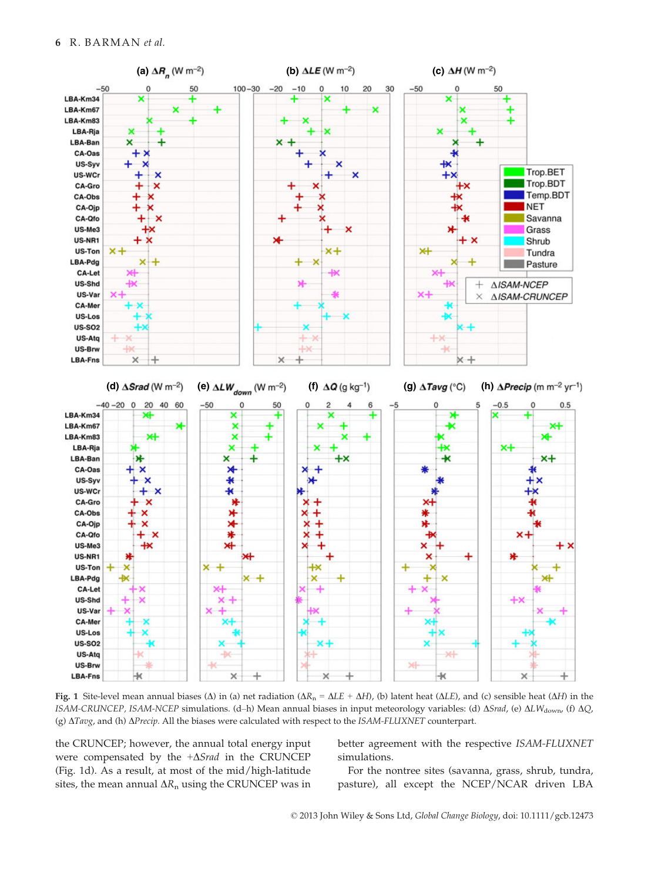

Fig. 1 Site-level mean annual biases ( $\Delta$ ) in (a) net radiation ( $\Delta R_n = \Delta L E + \Delta H$ ), (b) latent heat ( $\Delta L E$ ), and (c) sensible heat ( $\Delta H$ ) in the ISAM-CRUNCEP, ISAM-NCEP simulations. (d–h) Mean annual biases in input meteorology variables: (d)  $\Delta$ Srad, (e)  $\Delta L W_{\text{down}}$  (f)  $\Delta Q$ , (g)  $\Delta Tavg$ , and (h)  $\Delta Precip$ . All the biases were calculated with respect to the ISAM-FLUXNET counterpart.

the CRUNCEP; however, the annual total energy input were compensated by the  $+\Delta$ Srad in the CRUNCEP (Fig. 1d). As a result, at most of the mid/high-latitude sites, the mean annual  $\Delta R_n$  using the CRUNCEP was in better agreement with the respective ISAM-FLUXNET simulations.

For the nontree sites (savanna, grass, shrub, tundra, pasture), all except the NCEP/NCAR driven LBA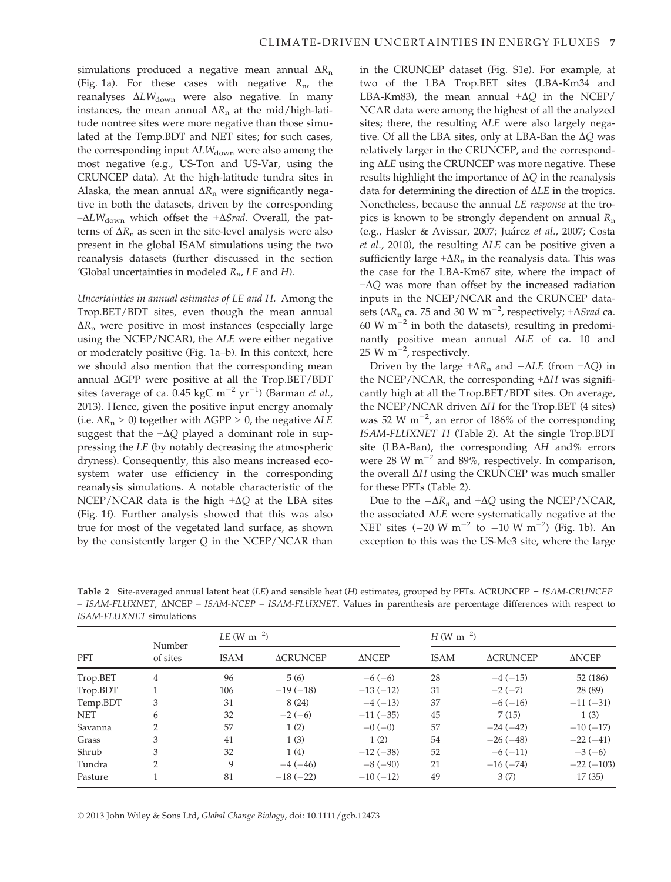simulations produced a negative mean annual  $\Delta R_n$ (Fig. 1a). For these cases with negative  $R_{\text{n}}$ , the reanalyses  $\Delta L W_{down}$  were also negative. In many instances, the mean annual  $\Delta R_n$  at the mid/high-latitude nontree sites were more negative than those simulated at the Temp.BDT and NET sites; for such cases, the corresponding input  $\Delta L W_{down}$  were also among the most negative (e.g., US-Ton and US-Var, using the CRUNCEP data). At the high-latitude tundra sites in Alaska, the mean annual  $\Delta R$ <sub>n</sub> were significantly negative in both the datasets, driven by the corresponding  $-\Delta L W_{\text{down}}$  which offset the  $+\Delta S$ rad. Overall, the patterns of  $\Delta R_n$  as seen in the site-level analysis were also present in the global ISAM simulations using the two reanalysis datasets (further discussed in the section 'Global uncertainties in modeled  $R_n$ , LE and H).

Uncertainties in annual estimates of LE and H. Among the Trop.BET/BDT sites, even though the mean annual  $\Delta R_n$  were positive in most instances (especially large using the NCEP/NCAR), the  $\Delta$ LE were either negative or moderately positive (Fig. 1a–b). In this context, here we should also mention that the corresponding mean annual  $\Delta$ GPP were positive at all the Trop.BET/BDT sites (average of ca.  $0.45~{\rm kgC~m^{-2}~yr^{-1}}$ ) (Barman *et al.,* 2013). Hence, given the positive input energy anomaly (i.e.  $\Delta R_n > 0$ ) together with  $\Delta GPP > 0$ , the negative  $\Delta LE$ suggest that the  $+\Delta Q$  played a dominant role in suppressing the LE (by notably decreasing the atmospheric dryness). Consequently, this also means increased ecosystem water use efficiency in the corresponding reanalysis simulations. A notable characteristic of the NCEP/NCAR data is the high  $+\Delta Q$  at the LBA sites (Fig. 1f). Further analysis showed that this was also true for most of the vegetated land surface, as shown by the consistently larger Q in the NCEP/NCAR than in the CRUNCEP dataset (Fig. S1e). For example, at two of the LBA Trop.BET sites (LBA-Km34 and LBA-Km83), the mean annual  $+\Delta Q$  in the NCEP/ NCAR data were among the highest of all the analyzed sites; there, the resulting  $\Delta L E$  were also largely negative. Of all the LBA sites, only at LBA-Ban the  $\Delta Q$  was relatively larger in the CRUNCEP, and the corresponding  $\Delta$ LE using the CRUNCEP was more negative. These results highlight the importance of  $\Delta Q$  in the reanalysis data for determining the direction of  $\Delta LE$  in the tropics. Nonetheless, because the annual LE response at the tropics is known to be strongly dependent on annual  $R_n$ (e.g., Hasler & Avissar, 2007; Juárez et al., 2007; Costa et al., 2010), the resulting  $\Delta LE$  can be positive given a sufficiently large  $+\Delta R_n$  in the reanalysis data. This was the case for the LBA-Km67 site, where the impact of  $+\Delta Q$  was more than offset by the increased radiation inputs in the NCEP/NCAR and the CRUNCEP datasets ( $\Delta R_n$  ca. 75 and 30 W m<sup>-2</sup>, respectively; + $\Delta$ *Srad* ca. 60 W  $\mathrm{m}^{-2}$  in both the datasets), resulting in predominantly positive mean annual  $\Delta LE$  of ca. 10 and 25 W m<sup> $-2$ </sup>, respectively.

Driven by the large  $+\Delta R_n$  and  $-\Delta LE$  (from  $+\Delta Q$ ) in the NCEP/NCAR, the corresponding  $+\Delta H$  was significantly high at all the Trop.BET/BDT sites. On average, the NCEP/NCAR driven  $\Delta H$  for the Trop.BET (4 sites) was 52 W  $\text{m}^{-2}$ , an error of 186% of the corresponding ISAM-FLUXNET H (Table 2). At the single Trop.BDT site (LBA-Ban), the corresponding  $\Delta H$  and% errors were 28 W  $m^{-2}$  and 89%, respectively. In comparison, the overall  $\Delta H$  using the CRUNCEP was much smaller for these PFTs (Table 2).

Due to the  $-\Delta R_n$  and  $+\Delta Q$  using the NCEP/NCAR, the associated  $\Delta L E$  were systematically negative at the NET sites  $(-20 \text{ W m}^{-2} \text{ to } -10 \text{ W m}^{-2})$  (Fig. 1b). An exception to this was the US-Me3 site, where the large

Table 2 Site-averaged annual latent heat (LE) and sensible heat (H) estimates, grouped by PFTs.  $\triangle$ CRUNCEP = ISAM-CRUNCEP  $-$  ISAM-FLUXNET,  $\triangle$ NCEP = ISAM-NCEP – ISAM-FLUXNET. Values in parenthesis are percentage differences with respect to ISAM-FLUXNET simulations

| PFT        | Number<br>of sites | $LE (W m^{-2})$ |                 |              | $H(W \text{ m}^{-2})$ |                 |              |  |
|------------|--------------------|-----------------|-----------------|--------------|-----------------------|-----------------|--------------|--|
|            |                    | <b>ISAM</b>     | <b>ACRUNCEP</b> | <b>ANCEP</b> | <b>ISAM</b>           | <b>ACRUNCEP</b> | <b>ANCEP</b> |  |
| Trop.BET   | 4                  | 96              | 5(6)            | $-6(-6)$     | 28                    | $-4(-15)$       | 52 (186)     |  |
| Trop.BDT   |                    | 106             | $-19(-18)$      | $-13(-12)$   | 31                    | $-2(-7)$        | 28 (89)      |  |
| Temp.BDT   | 3                  | 31              | 8(24)           | $-4(-13)$    | 37                    | $-6(-16)$       | $-11(-31)$   |  |
| <b>NET</b> | 6                  | 32              | $-2(-6)$        | $-11(-35)$   | 45                    | 7(15)           | 1(3)         |  |
| Savanna    | ∍                  | 57              | 1(2)            | $-0$ (-0)    | 57                    | $-24(-42)$      | $-10(-17)$   |  |
| Grass      | 3                  | 41              | 1(3)            | 1(2)         | 54                    | $-26(-48)$      | $-22(-41)$   |  |
| Shrub      | 3                  | 32              | 1(4)            | $-12(-38)$   | 52                    | $-6(-11)$       | $-3(-6)$     |  |
| Tundra     | 2                  | 9               | $-4(-46)$       | $-8(-90)$    | 21                    | $-16(-74)$      | $-22(-103)$  |  |
| Pasture    |                    | 81              | $-18(-22)$      | $-10(-12)$   | 49                    | 3(7)            | 17(35)       |  |

© 2013 John Wiley & Sons Ltd, Global Change Biology, doi: 10.1111/gcb.12473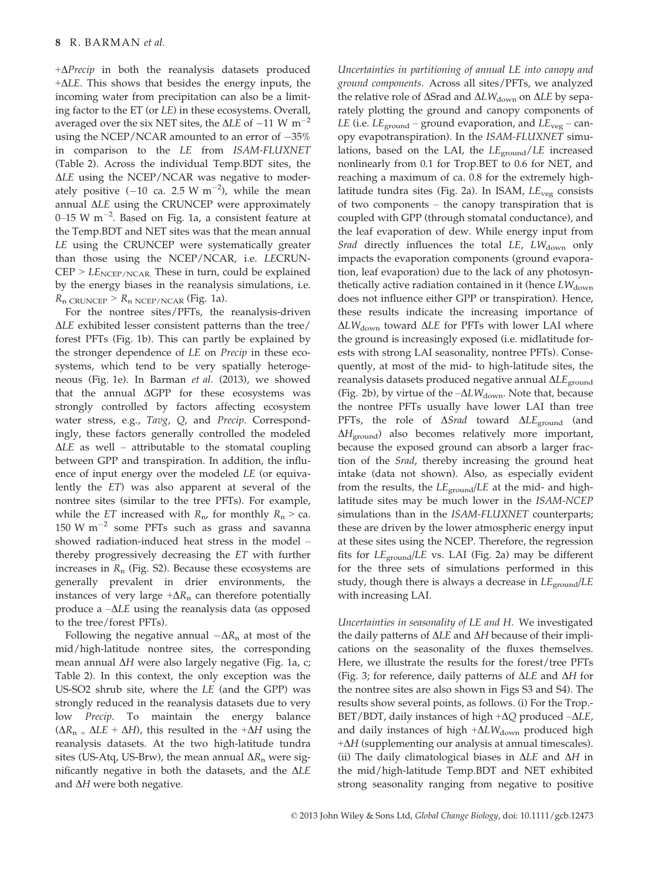$+\Delta P$ recip in both the reanalysis datasets produced  $+\Delta LE$ . This shows that besides the energy inputs, the incoming water from precipitation can also be a limiting factor to the ET (or LE) in these ecosystems. Overall, averaged over the six NET sites, the  $\Delta LE$  of  $-11$  W m<sup>-2</sup> using the NCEP/NCAR amounted to an error of  $-35%$ in comparison to the LE from ISAM-FLUXNET (Table 2). Across the individual Temp.BDT sites, the  $\Delta$ LE using the NCEP/NCAR was negative to moderately positive  $(-10 \text{ ca. } 2.5 \text{ W m}^{-2})$ , while the mean annual  $\Delta L E$  using the CRUNCEP were approximately  $0$ –15 W m $^{-2}$ . Based on Fig. 1a, a consistent feature at the Temp.BDT and NET sites was that the mean annual LE using the CRUNCEP were systematically greater than those using the NCEP/NCAR, i.e. LECRUN- $CEP > LE<sub>NCEP/NCAR</sub>$ . These in turn, could be explained by the energy biases in the reanalysis simulations, i.e.  $R_n$  CRUNCEP >  $R_n$  NCEP/NCAR (Fig. 1a).

For the nontree sites/PFTs, the reanalysis-driven  $\Delta L E$  exhibited lesser consistent patterns than the tree/ forest PFTs (Fig. 1b). This can partly be explained by the stronger dependence of LE on Precip in these ecosystems, which tend to be very spatially heterogeneous (Fig. 1e). In Barman et al. (2013), we showed that the annual  $\Delta GPP$  for these ecosystems was strongly controlled by factors affecting ecosystem water stress, e.g., Tavg, Q, and Precip. Correspondingly, these factors generally controlled the modeled  $\Delta L E$  as well – attributable to the stomatal coupling between GPP and transpiration. In addition, the influence of input energy over the modeled LE (or equivalently the ET) was also apparent at several of the nontree sites (similar to the tree PFTs). For example, while the ET increased with  $R_{\rm n}$  for monthly  $R_{\rm n}$  > ca. 150 W  $m^{-2}$  some PFTs such as grass and savanna showed radiation-induced heat stress in the model – thereby progressively decreasing the ET with further increases in  $R_n$  (Fig. S2). Because these ecosystems are generally prevalent in drier environments, the instances of very large  $+\Delta R_n$  can therefore potentially produce a  $-\Delta LE$  using the reanalysis data (as opposed to the tree/forest PFTs).

Following the negative annual  $-\Delta R_n$  at most of the mid/high-latitude nontree sites, the corresponding mean annual  $\Delta H$  were also largely negative (Fig. 1a, c; Table 2). In this context, the only exception was the US-SO2 shrub site, where the LE (and the GPP) was strongly reduced in the reanalysis datasets due to very low Precip. To maintain the energy balance  $(\Delta R_n = \Delta LE + \Delta H)$ , this resulted in the + $\Delta H$  using the reanalysis datasets. At the two high-latitude tundra sites (US-Atq, US-Brw), the mean annual  $\Delta R$ <sub>n</sub> were significantly negative in both the datasets, and the  $\Delta LE$ and  $\Delta H$  were both negative.

Uncertainties in partitioning of annual LE into canopy and ground components. Across all sites/PFTs, we analyzed the relative role of  $\Delta$ Srad and  $\Delta L W_{\text{down}}$  on  $\Delta L E$  by separately plotting the ground and canopy components of LE (i.e.  $LE_{ground}$  – ground evaporation, and  $LE_{vee}$  – canopy evapotranspiration). In the ISAM-FLUXNET simulations, based on the LAI, the  $LE_{ground}/LE$  increased nonlinearly from 0.1 for Trop.BET to 0.6 for NET, and reaching a maximum of ca. 0.8 for the extremely highlatitude tundra sites (Fig. 2a). In ISAM,  $LE_{veg}$  consists of two components – the canopy transpiration that is coupled with GPP (through stomatal conductance), and the leaf evaporation of dew. While energy input from Srad directly influences the total  $LE$ ,  $LW_{down}$  only impacts the evaporation components (ground evaporation, leaf evaporation) due to the lack of any photosynthetically active radiation contained in it (hence  $LW_{\text{down}}$ does not influence either GPP or transpiration). Hence, these results indicate the increasing importance of  $\Delta L W_{\rm down}$  toward  $\Delta L E$  for PFTs with lower LAI where the ground is increasingly exposed (i.e. midlatitude forests with strong LAI seasonality, nontree PFTs). Consequently, at most of the mid- to high-latitude sites, the reanalysis datasets produced negative annual  $\Delta L E_{\text{ground}}$ (Fig. 2b), by virtue of the  $-\Delta L W_{\text{down}}$ . Note that, because the nontree PFTs usually have lower LAI than tree PFTs, the role of  $\Delta$ *Srad* toward  $\Delta$ *LE*<sub>ground</sub> (and  $\Delta H_{\text{ground}}$ ) also becomes relatively more important, because the exposed ground can absorb a larger fraction of the Srad, thereby increasing the ground heat intake (data not shown). Also, as especially evident from the results, the  $LE<sub>ground</sub>/LE$  at the mid- and highlatitude sites may be much lower in the ISAM-NCEP simulations than in the ISAM-FLUXNET counterparts; these are driven by the lower atmospheric energy input at these sites using the NCEP. Therefore, the regression fits for  $LE_{ground}/LE$  vs. LAI (Fig. 2a) may be different for the three sets of simulations performed in this study, though there is always a decrease in  $LE_{ground}/LE$ with increasing LAI.

Uncertainties in seasonality of LE and H. We investigated the daily patterns of  $\Delta LE$  and  $\Delta H$  because of their implications on the seasonality of the fluxes themselves. Here, we illustrate the results for the forest/tree PFTs (Fig. 3; for reference, daily patterns of  $\Delta L E$  and  $\Delta H$  for the nontree sites are also shown in Figs S3 and S4). The results show several points, as follows. (i) For the Trop.- BET/BDT, daily instances of high  $+\Delta Q$  produced  $-\Delta LE$ , and daily instances of high  $+\Delta L W_{\text{down}}$  produced high  $+\Delta H$  (supplementing our analysis at annual timescales). (ii) The daily climatological biases in  $\Delta LE$  and  $\Delta H$  in the mid/high-latitude Temp.BDT and NET exhibited strong seasonality ranging from negative to positive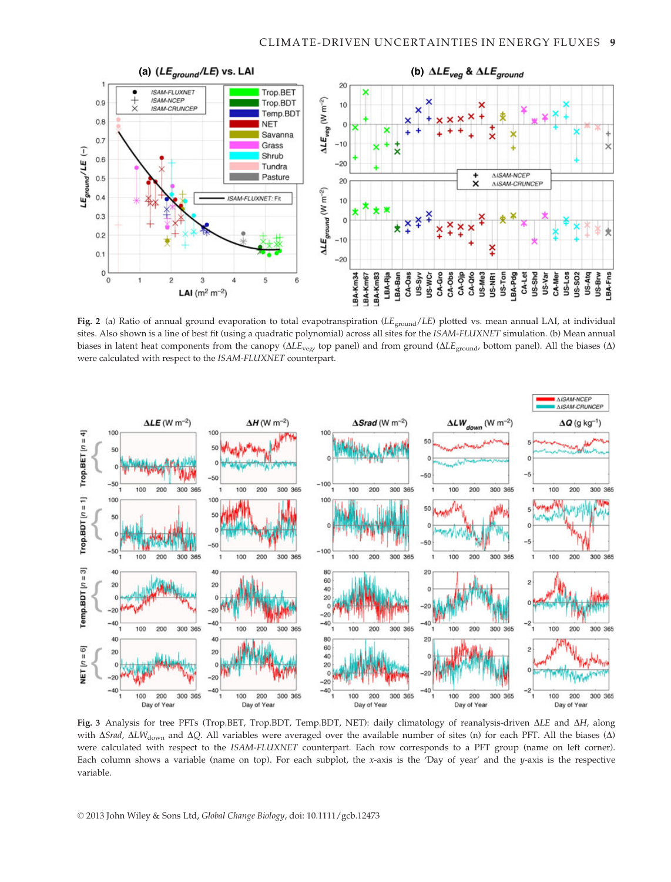

Fig. 2 (a) Ratio of annual ground evaporation to total evapotranspiration ( $LE_{\text{ground}}/LE$ ) plotted vs. mean annual LAI, at individual sites. Also shown is a line of best fit (using a quadratic polynomial) across all sites for the ISAM-FLUXNET simulation. (b) Mean annual biases in latent heat components from the canopy ( $\Delta L_{\text{vec}}$ , top panel) and from ground ( $\Delta L_{\text{ground}}$ , bottom panel). All the biases ( $\Delta$ ) were calculated with respect to the ISAM-FLUXNET counterpart.



Fig. 3 Analysis for tree PFTs (Trop.BET, Trop.BDT, Temp.BDT, NET): daily climatology of reanalysis-driven  $\Delta L$ E and  $\Delta H$ , along with  $\Delta$ *Srad,*  $\Delta$ LW<sub>down</sub> and  $\Delta$ Q. All variables were averaged over the available number of sites (n) for each PFT. All the biases ( $\Delta$ ) were calculated with respect to the ISAM-FLUXNET counterpart. Each row corresponds to a PFT group (name on left corner). Each column shows a variable (name on top). For each subplot, the x-axis is the 'Day of year' and the  $y$ -axis is the respective variable.

© 2013 John Wiley & Sons Ltd, Global Change Biology, doi: 10.1111/gcb.12473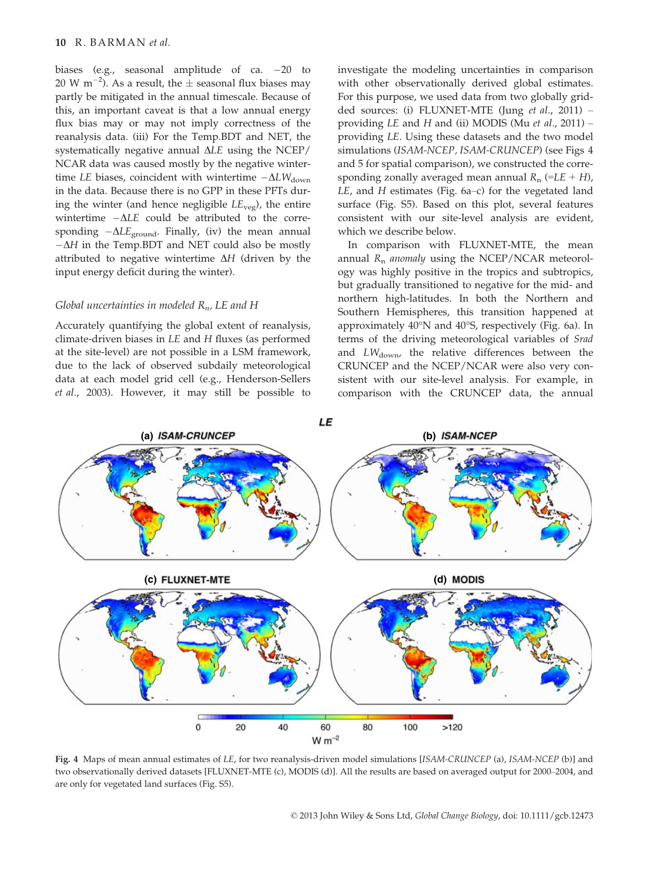biases (e.g., seasonal amplitude of ca.  $-20$  to  $20 \text{ W m}^{-2}$ ). As a result, the  $\pm$  seasonal flux biases may partly be mitigated in the annual timescale. Because of this, an important caveat is that a low annual energy flux bias may or may not imply correctness of the reanalysis data. (iii) For the Temp.BDT and NET, the systematically negative annual  $\Delta L E$  using the NCEP/ NCAR data was caused mostly by the negative wintertime LE biases, coincident with wintertime  $-\Delta L W_{\text{down}}$ in the data. Because there is no GPP in these PFTs during the winter (and hence negligible  $LE_{\text{vee}}$ ), the entire wintertime  $-\Delta LE$  could be attributed to the corresponding  $-\Delta L E_{\text{ground}}$ . Finally, (iv) the mean annual  $-\Delta H$  in the Temp.BDT and NET could also be mostly attributed to negative wintertime  $\Delta H$  (driven by the input energy deficit during the winter).

#### Global uncertainties in modeled  $R_n$ , LE and H

Accurately quantifying the global extent of reanalysis, climate-driven biases in LE and H fluxes (as performed at the site-level) are not possible in a LSM framework, due to the lack of observed subdaily meteorological data at each model grid cell (e.g., Henderson-Sellers et al., 2003). However, it may still be possible to investigate the modeling uncertainties in comparison with other observationally derived global estimates. For this purpose, we used data from two globally gridded sources: (i) FLUXNET-MTE (Jung et al., 2011) – providing  $LE$  and  $H$  and (ii) MODIS (Mu et al., 2011) – providing LE. Using these datasets and the two model simulations (ISAM-NCEP, ISAM-CRUNCEP) (see Figs 4 and 5 for spatial comparison), we constructed the corresponding zonally averaged mean annual  $R_n$  (=LE + H), LE, and H estimates (Fig. 6a–c) for the vegetated land surface (Fig. S5). Based on this plot, several features consistent with our site-level analysis are evident, which we describe below.

In comparison with FLUXNET-MTE, the mean annual  $R_n$  anomaly using the NCEP/NCAR meteorology was highly positive in the tropics and subtropics, but gradually transitioned to negative for the mid- and northern high-latitudes. In both the Northern and Southern Hemispheres, this transition happened at approximately  $40^{\circ}$ N and  $40^{\circ}$ S, respectively (Fig. 6a). In terms of the driving meteorological variables of Srad and  $LW_{\text{down}}$ , the relative differences between the CRUNCEP and the NCEP/NCAR were also very consistent with our site-level analysis. For example, in comparison with the CRUNCEP data, the annual



Fig. 4 Maps of mean annual estimates of LE, for two reanalysis-driven model simulations [ISAM-CRUNCEP (a), ISAM-NCEP (b)] and two observationally derived datasets [FLUXNET-MTE (c), MODIS (d)]. All the results are based on averaged output for 2000–2004, and are only for vegetated land surfaces (Fig. S5).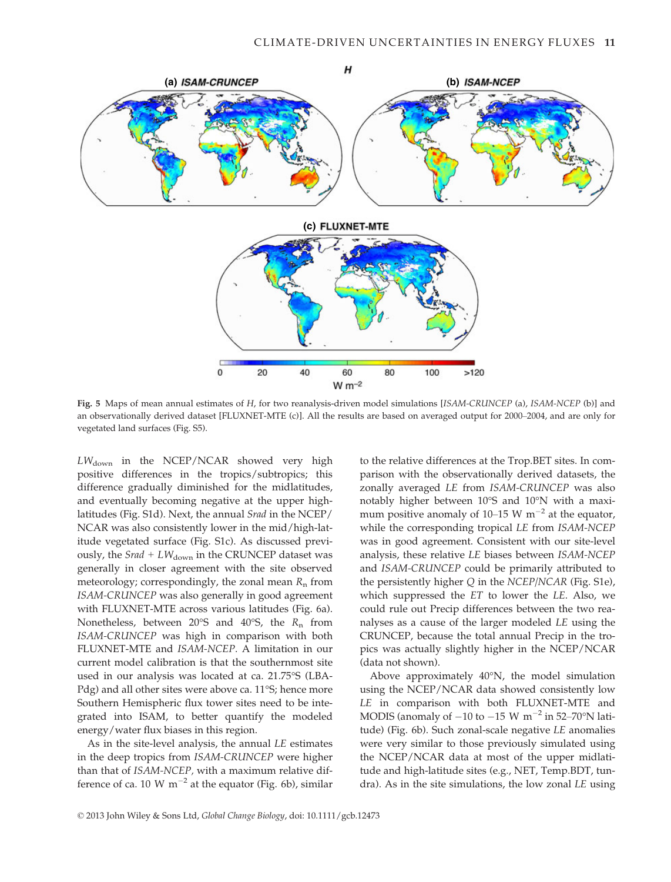

Fig. 5 Maps of mean annual estimates of H, for two reanalysis-driven model simulations [ISAM-CRUNCEP (a), ISAM-NCEP (b)] and an observationally derived dataset [FLUXNET-MTE (c)]. All the results are based on averaged output for 2000–2004, and are only for vegetated land surfaces (Fig. S5).

 $LW_{\text{down}}$  in the NCEP/NCAR showed very high positive differences in the tropics/subtropics; this difference gradually diminished for the midlatitudes, and eventually becoming negative at the upper highlatitudes (Fig. S1d). Next, the annual Srad in the NCEP/ NCAR was also consistently lower in the mid/high-latitude vegetated surface (Fig. S1c). As discussed previously, the *Srad* +  $LW_{\text{down}}$  in the CRUNCEP dataset was generally in closer agreement with the site observed meteorology; correspondingly, the zonal mean  $R_n$  from ISAM-CRUNCEP was also generally in good agreement with FLUXNET-MTE across various latitudes (Fig. 6a). Nonetheless, between  $20^{\circ}S$  and  $40^{\circ}S$ , the  $R_n$  from ISAM-CRUNCEP was high in comparison with both FLUXNET-MTE and ISAM-NCEP. A limitation in our current model calibration is that the southernmost site used in our analysis was located at ca. 21.75°S (LBA-Pdg) and all other sites were above ca. 11°S; hence more Southern Hemispheric flux tower sites need to be integrated into ISAM, to better quantify the modeled energy/water flux biases in this region.

As in the site-level analysis, the annual LE estimates in the deep tropics from ISAM-CRUNCEP were higher than that of ISAM-NCEP, with a maximum relative difference of ca. 10 W  $m^{-2}$  at the equator (Fig. 6b), similar to the relative differences at the Trop.BET sites. In comparison with the observationally derived datasets, the zonally averaged LE from ISAM-CRUNCEP was also notably higher between 10°S and 10°N with a maximum positive anomaly of 10–15 W  $\mathrm{m}^{-2}$  at the equator, while the corresponding tropical LE from ISAM-NCEP was in good agreement. Consistent with our site-level analysis, these relative LE biases between ISAM-NCEP and ISAM-CRUNCEP could be primarily attributed to the persistently higher Q in the NCEP/NCAR (Fig. S1e), which suppressed the ET to lower the LE. Also, we could rule out Precip differences between the two reanalyses as a cause of the larger modeled LE using the CRUNCEP, because the total annual Precip in the tropics was actually slightly higher in the NCEP/NCAR (data not shown).

Above approximately 40°N, the model simulation using the NCEP/NCAR data showed consistently low LE in comparison with both FLUXNET-MTE and MODIS (anomaly of  $-10$  to  $-15$  W m<sup>-2</sup> in 52–70°N latitude) (Fig. 6b). Such zonal-scale negative LE anomalies were very similar to those previously simulated using the NCEP/NCAR data at most of the upper midlatitude and high-latitude sites (e.g., NET, Temp.BDT, tundra). As in the site simulations, the low zonal LE using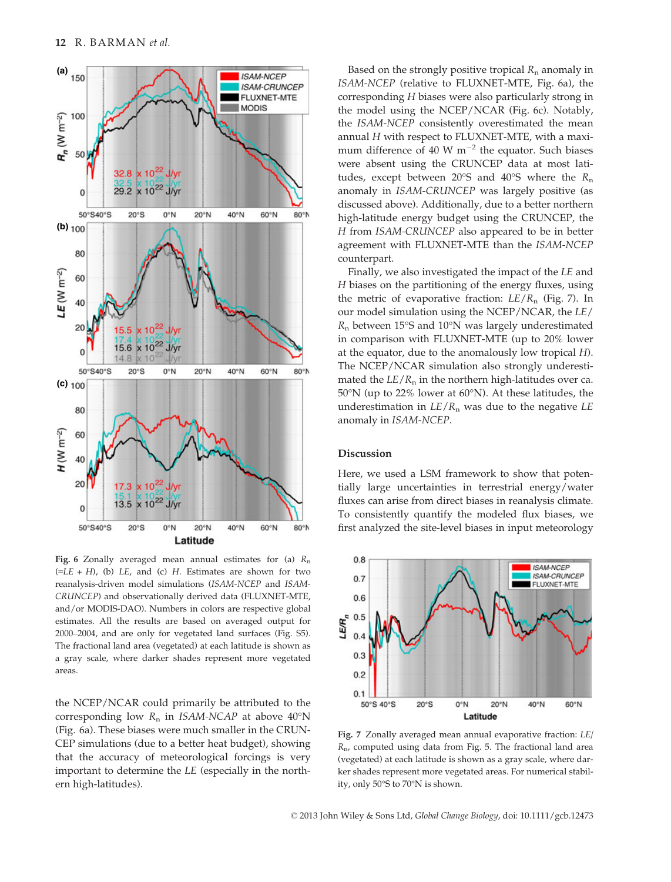

Fig. 6 Zonally averaged mean annual estimates for (a)  $R_n$  $(=LE + H)$ , (b)  $LE$ , and (c) H. Estimates are shown for two reanalysis-driven model simulations (ISAM-NCEP and ISAM-CRUNCEP) and observationally derived data (FLUXNET-MTE, and/or MODIS-DAO). Numbers in colors are respective global estimates. All the results are based on averaged output for 2000–2004, and are only for vegetated land surfaces (Fig. S5). The fractional land area (vegetated) at each latitude is shown as a gray scale, where darker shades represent more vegetated areas.

the NCEP/NCAR could primarily be attributed to the corresponding low  $R_n$  in *ISAM-NCAP* at above 40°N (Fig. 6a). These biases were much smaller in the CRUN-CEP simulations (due to a better heat budget), showing that the accuracy of meteorological forcings is very important to determine the LE (especially in the northern high-latitudes).

Based on the strongly positive tropical  $R_n$  anomaly in ISAM-NCEP (relative to FLUXNET-MTE, Fig. 6a), the corresponding H biases were also particularly strong in the model using the NCEP/NCAR (Fig. 6c). Notably, the ISAM-NCEP consistently overestimated the mean annual H with respect to FLUXNET-MTE, with a maximum difference of 40 W  $m^{-2}$  the equator. Such biases were absent using the CRUNCEP data at most latitudes, except between 20°S and 40°S where the  $R_n$ anomaly in ISAM-CRUNCEP was largely positive (as discussed above). Additionally, due to a better northern high-latitude energy budget using the CRUNCEP, the H from ISAM-CRUNCEP also appeared to be in better agreement with FLUXNET-MTE than the ISAM-NCEP counterpart.

Finally, we also investigated the impact of the LE and H biases on the partitioning of the energy fluxes, using the metric of evaporative fraction:  $LE/R_n$  (Fig. 7). In our model simulation using the NCEP/NCAR, the LE/  $R_n$  between 15°S and 10°N was largely underestimated in comparison with FLUXNET-MTE (up to 20% lower at the equator, due to the anomalously low tropical H). The NCEP/NCAR simulation also strongly underestimated the  $LE/R_n$  in the northern high-latitudes over ca. 50°N (up to 22% lower at 60°N). At these latitudes, the underestimation in  $LE/R_n$  was due to the negative  $LE$ anomaly in ISAM-NCEP.

## Discussion

Here, we used a LSM framework to show that potentially large uncertainties in terrestrial energy/water fluxes can arise from direct biases in reanalysis climate. To consistently quantify the modeled flux biases, we first analyzed the site-level biases in input meteorology



Fig. 7 Zonally averaged mean annual evaporative fraction: LE/  $R_{\text{n}}$ , computed using data from Fig. 5. The fractional land area (vegetated) at each latitude is shown as a gray scale, where darker shades represent more vegetated areas. For numerical stability, only 50°S to 70°N is shown.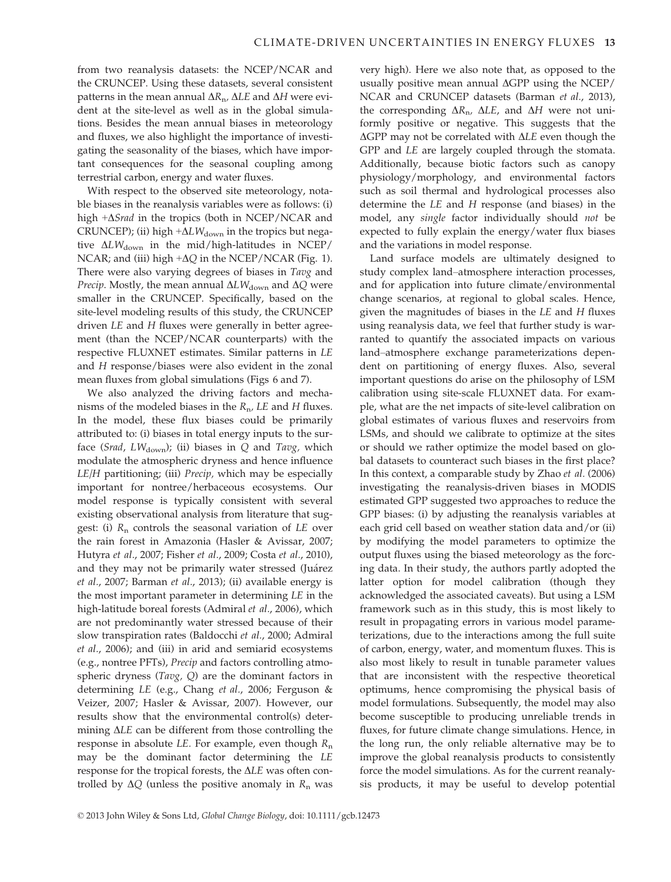from two reanalysis datasets: the NCEP/NCAR and the CRUNCEP. Using these datasets, several consistent patterns in the mean annual  $\Delta R_n$ ,  $\Delta L E$  and  $\Delta H$  were evident at the site-level as well as in the global simulations. Besides the mean annual biases in meteorology and fluxes, we also highlight the importance of investigating the seasonality of the biases, which have important consequences for the seasonal coupling among terrestrial carbon, energy and water fluxes.

With respect to the observed site meteorology, notable biases in the reanalysis variables were as follows: (i) high  $+\Delta$ *Srad* in the tropics (both in NCEP/NCAR and CRUNCEP); (ii) high  $+\Delta L W_{\text{down}}$  in the tropics but negative  $\Delta L W_{\text{down}}$  in the mid/high-latitudes in NCEP/ NCAR; and (iii) high  $+\Delta Q$  in the NCEP/NCAR (Fig. 1). There were also varying degrees of biases in Tavg and *Precip*. Mostly, the mean annual  $\Delta L W_{\text{down}}$  and  $\Delta Q$  were smaller in the CRUNCEP. Specifically, based on the site-level modeling results of this study, the CRUNCEP driven LE and H fluxes were generally in better agreement (than the NCEP/NCAR counterparts) with the respective FLUXNET estimates. Similar patterns in LE and H response/biases were also evident in the zonal mean fluxes from global simulations (Figs 6 and 7).

We also analyzed the driving factors and mechanisms of the modeled biases in the  $R_{\text{n}}$ , LE and H fluxes. In the model, these flux biases could be primarily attributed to: (i) biases in total energy inputs to the surface (Srad, L $W_{\text{down}}$ ); (ii) biases in Q and Tavg, which modulate the atmospheric dryness and hence influence LE/H partitioning; (iii) Precip, which may be especially important for nontree/herbaceous ecosystems. Our model response is typically consistent with several existing observational analysis from literature that suggest: (i)  $R_n$  controls the seasonal variation of LE over the rain forest in Amazonia (Hasler & Avissar, 2007; Hutyra et al., 2007; Fisher et al., 2009; Costa et al., 2010), and they may not be primarily water stressed (Juárez et al., 2007; Barman et al., 2013); (ii) available energy is the most important parameter in determining LE in the high-latitude boreal forests (Admiral et al., 2006), which are not predominantly water stressed because of their slow transpiration rates (Baldocchi et al., 2000; Admiral et al., 2006); and (iii) in arid and semiarid ecosystems (e.g., nontree PFTs), Precip and factors controlling atmospheric dryness (Tavg, Q) are the dominant factors in determining LE (e.g., Chang et al., 2006; Ferguson & Veizer, 2007; Hasler & Avissar, 2007). However, our results show that the environmental control(s) determining  $\Delta LE$  can be different from those controlling the response in absolute LE. For example, even though  $R_n$ may be the dominant factor determining the LE response for the tropical forests, the  $\Delta LE$  was often controlled by  $\Delta Q$  (unless the positive anomaly in  $R_n$  was very high). Here we also note that, as opposed to the usually positive mean annual  $\Delta GPP$  using the NCEP/ NCAR and CRUNCEP datasets (Barman et al., 2013), the corresponding  $\Delta R_n$ ,  $\Delta LE$ , and  $\Delta H$  were not uniformly positive or negative. This suggests that the  $\Delta$ GPP may not be correlated with  $\Delta$ LE even though the GPP and LE are largely coupled through the stomata. Additionally, because biotic factors such as canopy physiology/morphology, and environmental factors such as soil thermal and hydrological processes also determine the LE and H response (and biases) in the model, any single factor individually should not be expected to fully explain the energy/water flux biases and the variations in model response.

Land surface models are ultimately designed to study complex land–atmosphere interaction processes, and for application into future climate/environmental change scenarios, at regional to global scales. Hence, given the magnitudes of biases in the  $LE$  and  $H$  fluxes using reanalysis data, we feel that further study is warranted to quantify the associated impacts on various land–atmosphere exchange parameterizations dependent on partitioning of energy fluxes. Also, several important questions do arise on the philosophy of LSM calibration using site-scale FLUXNET data. For example, what are the net impacts of site-level calibration on global estimates of various fluxes and reservoirs from LSMs, and should we calibrate to optimize at the sites or should we rather optimize the model based on global datasets to counteract such biases in the first place? In this context, a comparable study by Zhao et al. (2006) investigating the reanalysis-driven biases in MODIS estimated GPP suggested two approaches to reduce the GPP biases: (i) by adjusting the reanalysis variables at each grid cell based on weather station data and/or (ii) by modifying the model parameters to optimize the output fluxes using the biased meteorology as the forcing data. In their study, the authors partly adopted the latter option for model calibration (though they acknowledged the associated caveats). But using a LSM framework such as in this study, this is most likely to result in propagating errors in various model parameterizations, due to the interactions among the full suite of carbon, energy, water, and momentum fluxes. This is also most likely to result in tunable parameter values that are inconsistent with the respective theoretical optimums, hence compromising the physical basis of model formulations. Subsequently, the model may also become susceptible to producing unreliable trends in fluxes, for future climate change simulations. Hence, in the long run, the only reliable alternative may be to improve the global reanalysis products to consistently force the model simulations. As for the current reanalysis products, it may be useful to develop potential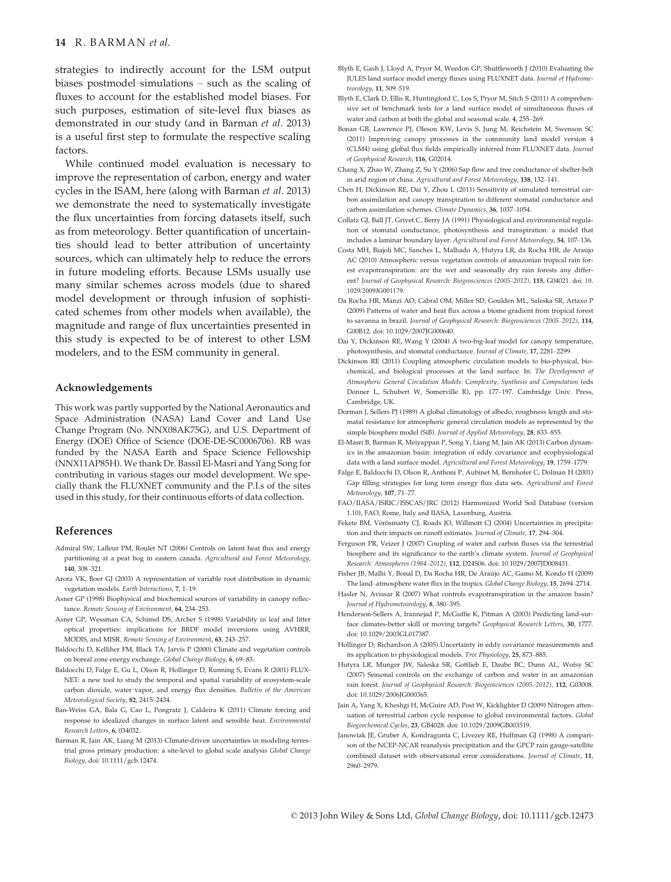strategies to indirectly account for the LSM output biases postmodel simulations – such as the scaling of fluxes to account for the established model biases. For such purposes, estimation of site-level flux biases as demonstrated in our study (and in Barman et al. 2013) is a useful first step to formulate the respective scaling factors.

While continued model evaluation is necessary to improve the representation of carbon, energy and water cycles in the ISAM, here (along with Barman et al. 2013) we demonstrate the need to systematically investigate the flux uncertainties from forcing datasets itself, such as from meteorology. Better quantification of uncertainties should lead to better attribution of uncertainty sources, which can ultimately help to reduce the errors in future modeling efforts. Because LSMs usually use many similar schemes across models (due to shared model development or through infusion of sophisticated schemes from other models when available), the magnitude and range of flux uncertainties presented in this study is expected to be of interest to other LSM modelers, and to the ESM community in general.

#### Acknowledgements

This work was partly supported by the National Aeronautics and Space Administration (NASA) Land Cover and Land Use Change Program (No. NNX08AK75G), and U.S. Department of Energy (DOE) Office of Science (DOE-DE-SC0006706). RB was funded by the NASA Earth and Space Science Fellowship (NNX11AP85H). We thank Dr. Bassil El-Masri and Yang Song for contributing in various stages our model development. We specially thank the FLUXNET community and the P.I.s of the sites used in this study, for their continuous efforts of data collection.

#### References

- Admiral SW, Lafleur PM, Roulet NT (2006) Controls on latent heat flux and energy partitioning at a peat bog in eastern canada. Agricultural and Forest Meteorology, 140, 308–321.
- Arora VK, Boer GJ (2003) A representation of variable root distribution in dynamic vegetation models. Earth Interactions, 7, 1–19.
- Asner GP (1998) Biophysical and biochemical sources of variability in canopy reflectance. Remote Sensing of Environment, 64, 234–253.
- Asner GP, Wessman CA, Schimel DS, Archer S (1998) Variability in leaf and litter optical properties: implications for BRDF model inversions using AVHRR, MODIS, and MISR. Remote Sensing of Environment, 63, 243–257.
- Baldocchi D, Kelliher FM, Black TA, Jarvis P (2000) Climate and vegetation controls on boreal zone energy exchange. Global Change Biology, 6, 69–83.
- Baldocchi D, Falge E, Gu L, Olson R, Hollinger D, Running S, Evans R (2001) FLUX-NET: a new tool to study the temporal and spatial variability of ecosystem-scale carbon dioxide, water vapor, and energy flux densities. Bulletin of the American Meteorological Society, 82, 2415–2434.
- Ban-Weiss GA, Bala G, Cao L, Pongratz J, Caldeira K (2011) Climate forcing and response to idealized changes in surface latent and sensible heat. Environmental Research Letters, 6, 034032.
- Barman R, Jain AK, Liang M (2013) Climate-driven uncertainties in modeling terrestrial gross primary production: a site-level to global scale analysis Global Change Biology, doi: 10.1111/gcb.12474.
- Blyth E, Gash J, Lloyd A, Pryor M, Weedon GP, Shuttleworth J (2010) Evaluating the JULES land surface model energy fluxes using FLUXNET data. Journal of Hydrometeorology, 11, 509–519.
- Blyth E, Clark D, Ellis R, Huntingford C, Los S, Pryor M, Sitch S (2011) A comprehensive set of benchmark tests for a land surface model of simultaneous fluxes of water and carbon at both the global and seasonal scale. 4, 255–269.
- Bonan GB, Lawrence PJ, Oleson KW, Levis S, Jung M, Reichstein M, Swenson SC (2011) Improving canopy processes in the community land model version 4 (CLM4) using global flux fields empirically inferred from FLUXNET data. Journal of Geophysical Research, 116, G02014.
- Chang X, Zhao W, Zhang Z, Su Y (2006) Sap flow and tree conductance of shelter-belt in arid region of china. Agricultural and Forest Meteorology, 138, 132–141.
- Chen H, Dickinson RE, Dai Y, Zhou L (2011) Sensitivity of simulated terrestrial carbon assimilation and canopy transpiration to different stomatal conductance and carbon assimilation schemes. Climate Dynamics, 36, 1037–1054.
- Collatz GJ, Ball JT, Grivet C, Berry JA (1991) Physiological and environmental regulation of stomatal conductance, photosynthesis and transpiration: a model that includes a laminar boundary layer. Agricultural and Forest Meteorology, 54, 107–136.
- Costa MH, Biajoli MC, Sanches L, Malhado A, Hutyra LR, da Rocha HR, de Araujo AC (2010) Atmospheric versus vegetation controls of amazonian tropical rain forest evapotranspiration: are the wet and seasonally dry rain forests any different? Journal of Geophysical Research: Biogeosciences (2005–2012), 115, G04021. doi: 10. 1029/2009JG001179.
- Da Rocha HR, Manzi AO, Cabral OM, Miller SD, Goulden ML, Saleska SR, Artaxo P (2009) Patterns of water and heat flux across a biome gradient from tropical forest to savanna in brazil. Journal of Geophysical Research: Biogeosciences (2005–2012), 114, G00B12. doi: 10.1029/2007JG000640.
- Dai Y, Dickinson RE, Wang Y (2004) A two-big-leaf model for canopy temperature, photosynthesis, and stomatal conductance. Journal of Climate, 17, 2281–2299.
- Dickinson RE (2011) Coupling atmospheric circulation models to bio-physical, biochemical, and biological processes at the land surface. In: The Development of Atmospheric General Circulation Models: Complexity, Synthesis and Computation (eds Donner L, Schubert W, Somerville R), pp. 177–197. Cambridge Univ. Press, Cambridge, UK.
- Dorman J, Sellers PJ (1989) A global climatology of albedo, roughness length and stomatal resistance for atmospheric general circulation models as represented by the simple biosphere model (SiB). Journal of Applied Meteorology, 28, 833–855.
- El-Masri B, Barman R, Meiyappan P, Song Y, Liang M, Jain AK (2013) Carbon dynamics in the amazonian basin: integration of eddy covariance and ecophysiological data with a land surface model. Agricultural and Forest Meteorology, 19, 1759–1779.
- Falge E, Baldocchi D, Olson R, Anthoni P, Aubinet M, Bernhofer C, Dolman H (2001) Gap filling strategies for long term energy flux data sets. Agricultural and Forest Meteorology, 107, 71–77.
- FAO/IIASA/ISRIC/ISSCAS/JRC (2012) Harmonized World Soil Database (version 1.10), FAO, Rome, Italy and IIASA, Laxenburg, Austria.
- Fekete BM, Vörösmarty CJ, Roads JO, Willmott CJ (2004) Uncertainties in precipitation and their impacts on runoff estimates. Journal of Climate, 17, 294–304.
- Ferguson PR, Veizer J (2007) Coupling of water and carbon fluxes via the terrestrial biosphere and its significance to the earth's climate system. Journal of Geophysical Research: Atmospheres (1984–2012), 112, D24S06. doi: 10.1029/2007JD008431.
- Fisher JB, Malhi Y, Bonal D, Da Rocha HR, De Araujo AC, Gamo M, Kondo H (2009) The land–atmosphere water flux in the tropics. Global Change Biology, 15, 2694–2714.
- Hasler N, Avissar R (2007) What controls evapotranspiration in the amazon basin? Journal of Hydrometeorology, 8, 380–395.
- Henderson-Sellers A, Irannejad P, McGuffie K, Pitman A (2003) Predicting land-surface climates-better skill or moving targets? Geophysical Research Letters, 30, 1777. doi: 10.1029/2003GL017387.
- Hollinger D, Richardson A (2005) Uncertainty in eddy covariance measurements and its application to physiological models. Tree Physiology, 25, 873–885.
- Hutyra LR, Munger JW, Saleska SR, Gottlieb E, Daube BC, Dunn AL, Wofsy SC (2007) Seasonal controls on the exchange of carbon and water in an amazonian rain forest. Journal of Geophysical Research: Biogeosciences (2005–2012), 112, G03008. doi: 10.1029/2006JG000365.
- Jain A, Yang X, Kheshgi H, McGuire AD, Post W, Kicklighter D (2009) Nitrogen attenuation of terrestrial carbon cycle response to global environmental factors. Global Biogeochemical Cycles, 23, GB4028. doi: 10.1029/2009GB003519.
- Janowiak JE, Gruber A, Kondragunta C, Livezey RE, Huffman GJ (1998) A comparison of the NCEP-NCAR reanalysis precipitation and the GPCP rain gauge-satellite combined dataset with observational error considerations. Journal of Climate, 11, 2960–2979.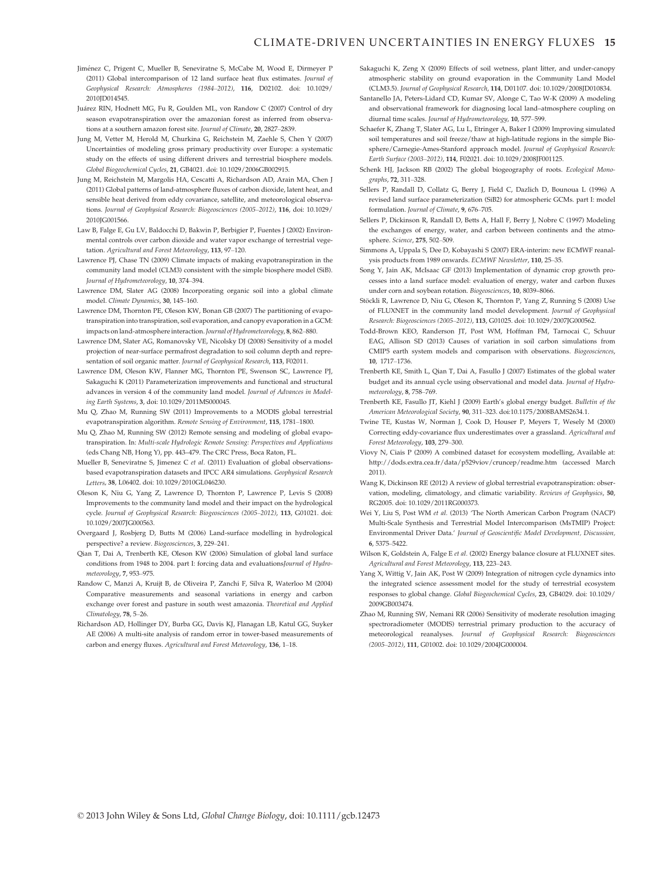- Jiménez C, Prigent C, Mueller B, Seneviratne S, McCabe M, Wood E, Dirmeyer P (2011) Global intercomparison of 12 land surface heat flux estimates. Journal of Geophysical Research: Atmospheres (1984–2012), 116, D02102. doi: 10.1029/ 2010JD014545.
- Juárez RIN, Hodnett MG, Fu R, Goulden ML, von Randow C (2007) Control of dry season evapotranspiration over the amazonian forest as inferred from observations at a southern amazon forest site. Journal of Climate, 20, 2827–2839.
- Jung M, Vetter M, Herold M, Churkina G, Reichstein M, Zaehle S, Chen Y (2007) Uncertainties of modeling gross primary productivity over Europe: a systematic study on the effects of using different drivers and terrestrial biosphere models. Global Biogeochemical Cycles, 21, GB4021. doi: 10.1029/2006GB002915.
- Jung M, Reichstein M, Margolis HA, Cescatti A, Richardson AD, Arain MA, Chen J (2011) Global patterns of land-atmosphere fluxes of carbon dioxide, latent heat, and sensible heat derived from eddy covariance, satellite, and meteorological observations. Journal of Geophysical Research: Biogeosciences (2005–2012), 116, doi: 10.1029/ 2010JG001566.
- Law B, Falge E, Gu LV, Baldocchi D, Bakwin P, Berbigier P, Fuentes J (2002) Environmental controls over carbon dioxide and water vapor exchange of terrestrial vegetation. Agricultural and Forest Meteorology, 113, 97–120.
- Lawrence PJ, Chase TN (2009) Climate impacts of making evapotranspiration in the community land model (CLM3) consistent with the simple biosphere model (SiB). Journal of Hydrometeorology, 10, 374–394.
- Lawrence DM, Slater AG (2008) Incorporating organic soil into a global climate model. Climate Dynamics, 30, 145–160.
- Lawrence DM, Thornton PE, Oleson KW, Bonan GB (2007) The partitioning of evapotranspiration into transpiration, soil evaporation, and canopy evaporation in a GCM: impacts on land-atmosphere interaction. Journal of Hydrometeorology, 8, 862-880.
- Lawrence DM, Slater AG, Romanovsky VE, Nicolsky DJ (2008) Sensitivity of a model projection of near-surface permafrost degradation to soil column depth and representation of soil organic matter. Journal of Geophysical Research, 113, F02011.
- Lawrence DM, Oleson KW, Flanner MG, Thornton PE, Swenson SC, Lawrence PJ, Sakaguchi K (2011) Parameterization improvements and functional and structural advances in version 4 of the community land model. Journal of Advances in Modeling Earth Systems, 3, doi: 10.1029/2011MS000045.
- Mu Q, Zhao M, Running SW (2011) Improvements to a MODIS global terrestrial evapotranspiration algorithm. Remote Sensing of Environment, 115, 1781–1800.
- Mu Q, Zhao M, Running SW (2012) Remote sensing and modeling of global evapotranspiration. In: Multi-scale Hydrologic Remote Sensing: Perspectives and Applications (eds Chang NB, Hong Y), pp. 443–479. The CRC Press, Boca Raton, FL.
- Mueller B, Seneviratne S, Jimenez C et al. (2011) Evaluation of global observationsbased evapotranspiration datasets and IPCC AR4 simulations. Geophysical Research Letters, 38, L06402. doi: 10.1029/2010GL046230.
- Oleson K, Niu G, Yang Z, Lawrence D, Thornton P, Lawrence P, Levis S (2008) Improvements to the community land model and their impact on the hydrological cycle. Journal of Geophysical Research: Biogeosciences (2005–2012), 113, G01021. doi: 10.1029/2007JG000563.
- Overgaard J, Rosbjerg D, Butts M (2006) Land-surface modelling in hydrological perspective? a review. Biogeosciences, 3, 229–241.
- Qian T, Dai A, Trenberth KE, Oleson KW (2006) Simulation of global land surface conditions from 1948 to 2004. part I: forcing data and evaluationsJournal of Hydrometeorology, 7, 953–975.
- Randow C, Manzi A, Kruijt B, de Oliveira P, Zanchi F, Silva R, Waterloo M (2004) Comparative measurements and seasonal variations in energy and carbon exchange over forest and pasture in south west amazonia. Theoretical and Applied Climatology, 78, 5–26.
- Richardson AD, Hollinger DY, Burba GG, Davis KJ, Flanagan LB, Katul GG, Suyker AE (2006) A multi-site analysis of random error in tower-based measurements of carbon and energy fluxes. Agricultural and Forest Meteorology, 136, 1–18.
- Sakaguchi K, Zeng X (2009) Effects of soil wetness, plant litter, and under-canopy atmospheric stability on ground evaporation in the Community Land Model (CLM3.5). Journal of Geophysical Research, 114, D01107. doi: 10.1029/2008JD010834.
- Santanello JA, Peters-Lidard CD, Kumar SV, Alonge C, Tao W-K (2009) A modeling and observational framework for diagnosing local land–atmosphere coupling on diurnal time scales. Journal of Hydrometeorology, 10, 577–599.
- Schaefer K, Zhang T, Slater AG, Lu L, Etringer A, Baker I (2009) Improving simulated soil temperatures and soil freeze/thaw at high-latitude regions in the simple Biosphere/Carnegie-Ames-Stanford approach model. Journal of Geophysical Research: Earth Surface (2003–2012), 114, F02021. doi: 10.1029/2008JF001125.
- Schenk HJ, Jackson RB (2002) The global biogeography of roots. Ecological Monographs, 72, 311–328.
- Sellers P, Randall D, Collatz G, Berry J, Field C, Dazlich D, Bounoua L (1996) A revised land surface parameterization (SiB2) for atmospheric GCMs. part I: model formulation. Journal of Climate, 9, 676–705.
- Sellers P, Dickinson R, Randall D, Betts A, Hall F, Berry J, Nobre C (1997) Modeling the exchanges of energy, water, and carbon between continents and the atmosphere. Science, 275, 502–509.
- Simmons A, Uppala S, Dee D, Kobayashi S (2007) ERA-interim: new ECMWF reanalysis products from 1989 onwards. ECMWF Newsletter, 110, 25–35.
- Song Y, Jain AK, McIsaac GF (2013) Implementation of dynamic crop growth processes into a land surface model: evaluation of energy, water and carbon fluxes under corn and soybean rotation. Biogeosciences, 10, 8039–8066.
- Stöckli R, Lawrence D, Niu G, Oleson K, Thornton P, Yang Z, Running S (2008) Use of FLUXNET in the community land model development. Journal of Geophysical Research: Biogeosciences (2005–2012), 113, G01025. doi: 10.1029/2007JG000562.
- Todd-Brown KEO, Randerson JT, Post WM, Hoffman FM, Tarnocai C, Schuur EAG, Allison SD (2013) Causes of variation in soil carbon simulations from CMIP5 earth system models and comparison with observations. Biogeosciences, 10, 1717–1736.
- Trenberth KE, Smith L, Qian T, Dai A, Fasullo J (2007) Estimates of the global water budget and its annual cycle using observational and model data. Journal of Hydrometeorology, 8, 758–769.
- Trenberth KE, Fasullo JT, Kiehl J (2009) Earth's global energy budget. Bulletin of the American Meteorological Society, 90, 311–323. doi:10.1175/2008BAMS2634.1.
- Twine TE, Kustas W, Norman J, Cook D, Houser P, Meyers T, Wesely M (2000) Correcting eddy-covariance flux underestimates over a grassland. Agricultural and Forest Meteorology, 103, 279–300.
- Viovy N, Ciais P (2009) A combined dataset for ecosystem modelling, Available at: http://dods.extra.cea.fr/data/p529viov/cruncep/readme.htm (accessed March 2011).
- Wang K, Dickinson RE (2012) A review of global terrestrial evapotranspiration: observation, modeling, climatology, and climatic variability. Reviews of Geophysics, 50, RG2005. doi: 10.1029/2011RG000373.
- Wei Y, Liu S, Post WM et al. (2013) 'The North American Carbon Program (NACP) Multi-Scale Synthesis and Terrestrial Model Intercomparison (MsTMIP) Project: Environmental Driver Data.' Journal of Geoscientific Model Development, Discussion, 6, 5375–5422.
- Wilson K, Goldstein A, Falge E et al. (2002) Energy balance closure at FLUXNET sites. Agricultural and Forest Meteorology, 113, 223–243.
- Yang X, Wittig V, Jain AK, Post W (2009) Integration of nitrogen cycle dynamics into the integrated science assessment model for the study of terrestrial ecosystem responses to global change. Global Biogeochemical Cycles, 23, GB4029. doi: 10.1029/ 2009GB003474.
- Zhao M, Running SW, Nemani RR (2006) Sensitivity of moderate resolution imaging spectroradiometer (MODIS) terrestrial primary production to the accuracy of meteorological reanalyses. Journal of Geophysical Research: Biogeosciences (2005–2012), 111, G01002. doi: 10.1029/2004JG000004.